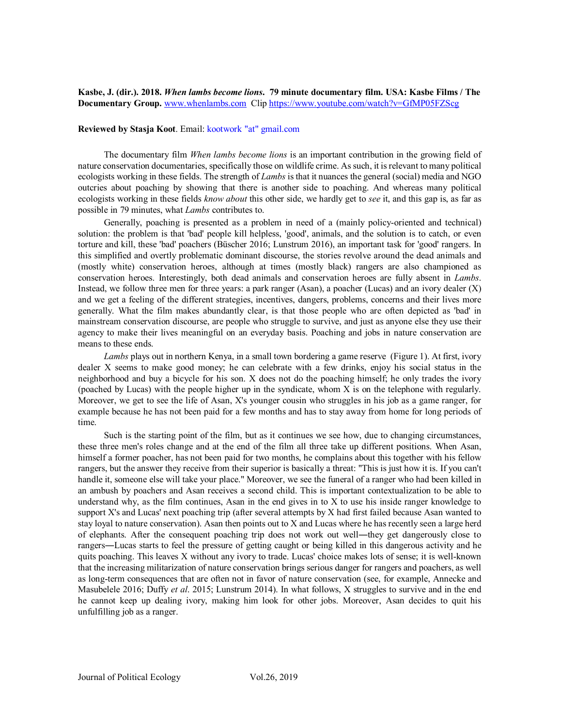**Kasbe, J. (dir.). 2018.** *When lambs become lions***. 79 minute documentary film. USA: Kasbe Films / The Documentary Group.** [www.whenlambs.com](http://www.whenlambs.com/) Clip<https://www.youtube.com/watch?v=GfMP05FZScg>

## **Reviewed by Stasja Koot**. Email: kootwork "at" gmail.com

The documentary film *When lambs become lions* is an important contribution in the growing field of nature conservation documentaries, specifically those on wildlife crime. As such, it is relevant to many political ecologists working in these fields. The strength of *Lambs* is that it nuances the general (social) media and NGO outcries about poaching by showing that there is another side to poaching. And whereas many political ecologists working in these fields *know about* this other side, we hardly get to *see* it, and this gap is, as far as possible in 79 minutes, what *Lambs* contributes to.

Generally, poaching is presented as a problem in need of a (mainly policy-oriented and technical) solution: the problem is that 'bad' people kill helpless, 'good', animals, and the solution is to catch, or even torture and kill, these 'bad' poachers (Büscher 2016; Lunstrum 2016), an important task for 'good' rangers. In this simplified and overtly problematic dominant discourse, the stories revolve around the dead animals and (mostly white) conservation heroes, although at times (mostly black) rangers are also championed as conservation heroes. Interestingly, both dead animals and conservation heroes are fully absent in *Lambs*. Instead, we follow three men for three years: a park ranger (Asan), a poacher (Lucas) and an ivory dealer (X) and we get a feeling of the different strategies, incentives, dangers, problems, concerns and their lives more generally. What the film makes abundantly clear, is that those people who are often depicted as 'bad' in mainstream conservation discourse, are people who struggle to survive, and just as anyone else they use their agency to make their lives meaningful on an everyday basis. Poaching and jobs in nature conservation are means to these ends.

*Lambs* plays out in northern Kenya, in a small town bordering a game reserve (Figure 1). At first, ivory dealer X seems to make good money; he can celebrate with a few drinks, enjoy his social status in the neighborhood and buy a bicycle for his son. X does not do the poaching himself; he only trades the ivory (poached by Lucas) with the people higher up in the syndicate, whom X is on the telephone with regularly. Moreover, we get to see the life of Asan, X's younger cousin who struggles in his job as a game ranger, for example because he has not been paid for a few months and has to stay away from home for long periods of time.

Such is the starting point of the film, but as it continues we see how, due to changing circumstances, these three men's roles change and at the end of the film all three take up different positions. When Asan, himself a former poacher, has not been paid for two months, he complains about this together with his fellow rangers, but the answer they receive from their superior is basically a threat: "This is just how it is. If you can't handle it, someone else will take your place." Moreover, we see the funeral of a ranger who had been killed in an ambush by poachers and Asan receives a second child. This is important contextualization to be able to understand why, as the film continues, Asan in the end gives in to X to use his inside ranger knowledge to support X's and Lucas' next poaching trip (after several attempts by X had first failed because Asan wanted to stay loyal to nature conservation). Asan then points out to X and Lucas where he has recently seen a large herd of elephants. After the consequent poaching trip does not work out well—they get dangerously close to rangers―Lucas starts to feel the pressure of getting caught or being killed in this dangerous activity and he quits poaching. This leaves X without any ivory to trade. Lucas' choice makes lots of sense; it is well-known that the increasing militarization of nature conservation brings serious danger for rangers and poachers, as well as long-term consequences that are often not in favor of nature conservation (see, for example, Annecke and Masubelele 2016; Duffy *et al*. 2015; Lunstrum 2014). In what follows, X struggles to survive and in the end he cannot keep up dealing ivory, making him look for other jobs. Moreover, Asan decides to quit his unfulfilling job as a ranger.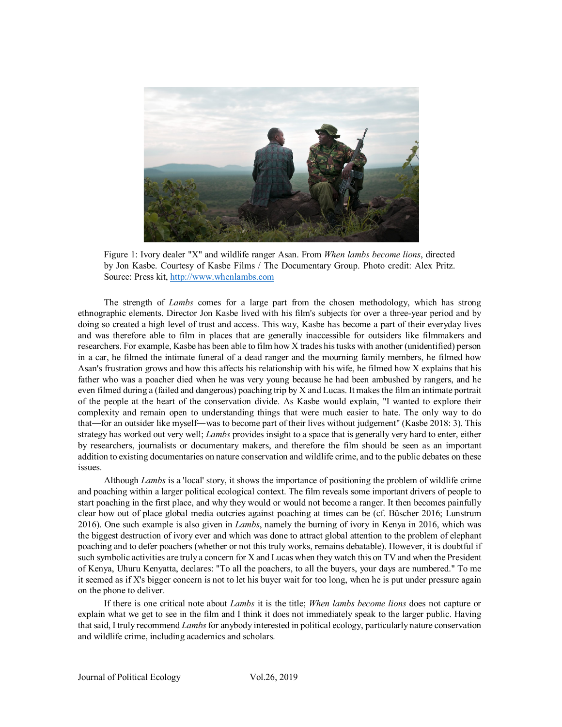

Figure 1: Ivory dealer "X" and wildlife ranger Asan. From *When lambs become lions*, directed by Jon Kasbe. Courtesy of Kasbe Films / The Documentary Group. Photo credit: Alex Pritz. Source: Press kit[, http://www.whenlambs.com](http://www.whenlambs.com/)

The strength of *Lambs* comes for a large part from the chosen methodology, which has strong ethnographic elements. Director Jon Kasbe lived with his film's subjects for over a three-year period and by doing so created a high level of trust and access. This way, Kasbe has become a part of their everyday lives and was therefore able to film in places that are generally inaccessible for outsiders like filmmakers and researchers. For example, Kasbe has been able to film how X trades his tusks with another (unidentified) person in a car, he filmed the intimate funeral of a dead ranger and the mourning family members, he filmed how Asan's frustration grows and how this affects his relationship with his wife, he filmed how X explains that his father who was a poacher died when he was very young because he had been ambushed by rangers, and he even filmed during a (failed and dangerous) poaching trip by X and Lucas. It makes the film an intimate portrait of the people at the heart of the conservation divide. As Kasbe would explain, "I wanted to explore their complexity and remain open to understanding things that were much easier to hate. The only way to do that―for an outsider like myself―was to become part of their lives without judgement" (Kasbe 2018: 3). This strategy has worked out very well; *Lambs* provides insight to a space that is generally very hard to enter, either by researchers, journalists or documentary makers, and therefore the film should be seen as an important addition to existing documentaries on nature conservation and wildlife crime, and to the public debates on these issues.

Although *Lambs* is a 'local' story, it shows the importance of positioning the problem of wildlife crime and poaching within a larger political ecological context. The film reveals some important drivers of people to start poaching in the first place, and why they would or would not become a ranger. It then becomes painfully clear how out of place global media outcries against poaching at times can be (cf. Büscher 2016; Lunstrum 2016). One such example is also given in *Lambs*, namely the burning of ivory in Kenya in 2016, which was the biggest destruction of ivory ever and which was done to attract global attention to the problem of elephant poaching and to defer poachers (whether or not this truly works, remains debatable). However, it is doubtful if such symbolic activities are truly a concern for X and Lucas when they watch this on TV and when the President of Kenya, Uhuru Kenyatta, declares: "To all the poachers, to all the buyers, your days are numbered." To me it seemed as if X's bigger concern is not to let his buyer wait for too long, when he is put under pressure again on the phone to deliver.

If there is one critical note about *Lambs* it is the title; *When lambs become lions* does not capture or explain what we get to see in the film and I think it does not immediately speak to the larger public. Having that said, I truly recommend *Lambs*for anybody interested in political ecology, particularly nature conservation and wildlife crime, including academics and scholars.